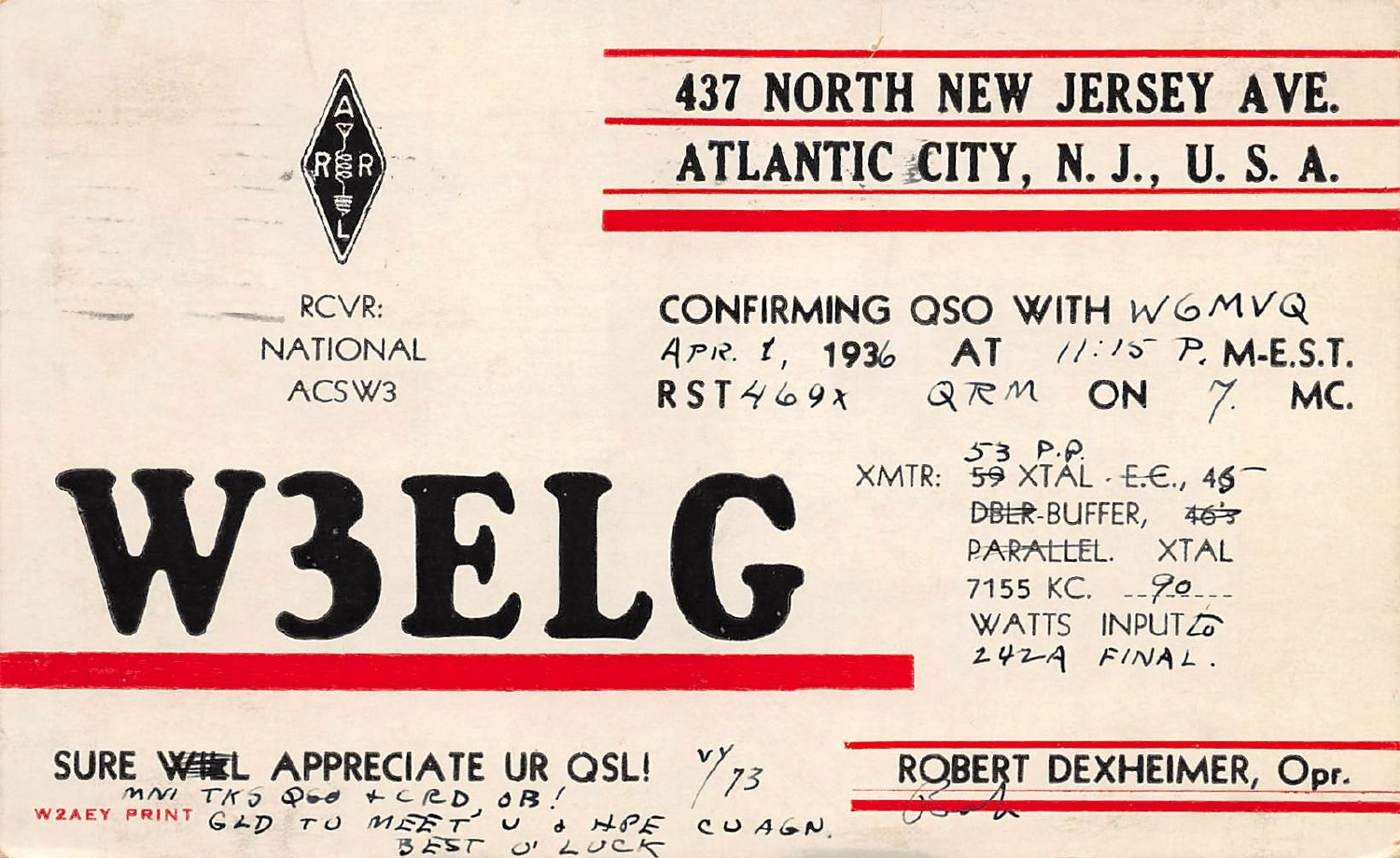

**437 NORTH NEW JERSEY AVE.** ATLANTIC CITY, N. J., U. S. A.

RCVR: **NATIONAL** ACSW<sub>3</sub>

CONFIRMING QSO WITH WGMVQ APR. 1, 1936 AT 11:15 P. M.E.S.T.  $RST469x$  QRM ON  $\gamma$ MC.

> XMTR: 59 XTAL . E.C., 45 DBLR-BUFFER, 463 PARALLEL, XTAL 7155 KC. - 90 ... WATTS INPUTZ  $242A$   $F/NAL$ .

SURE WELL APPRECIATE UR OSL!<br>WARY PRINT GAD TO MEET UP A HPE  $\frac{v}{73}$ U & HPE  $CUAGN$  $555T$ 

**W3ELG** 

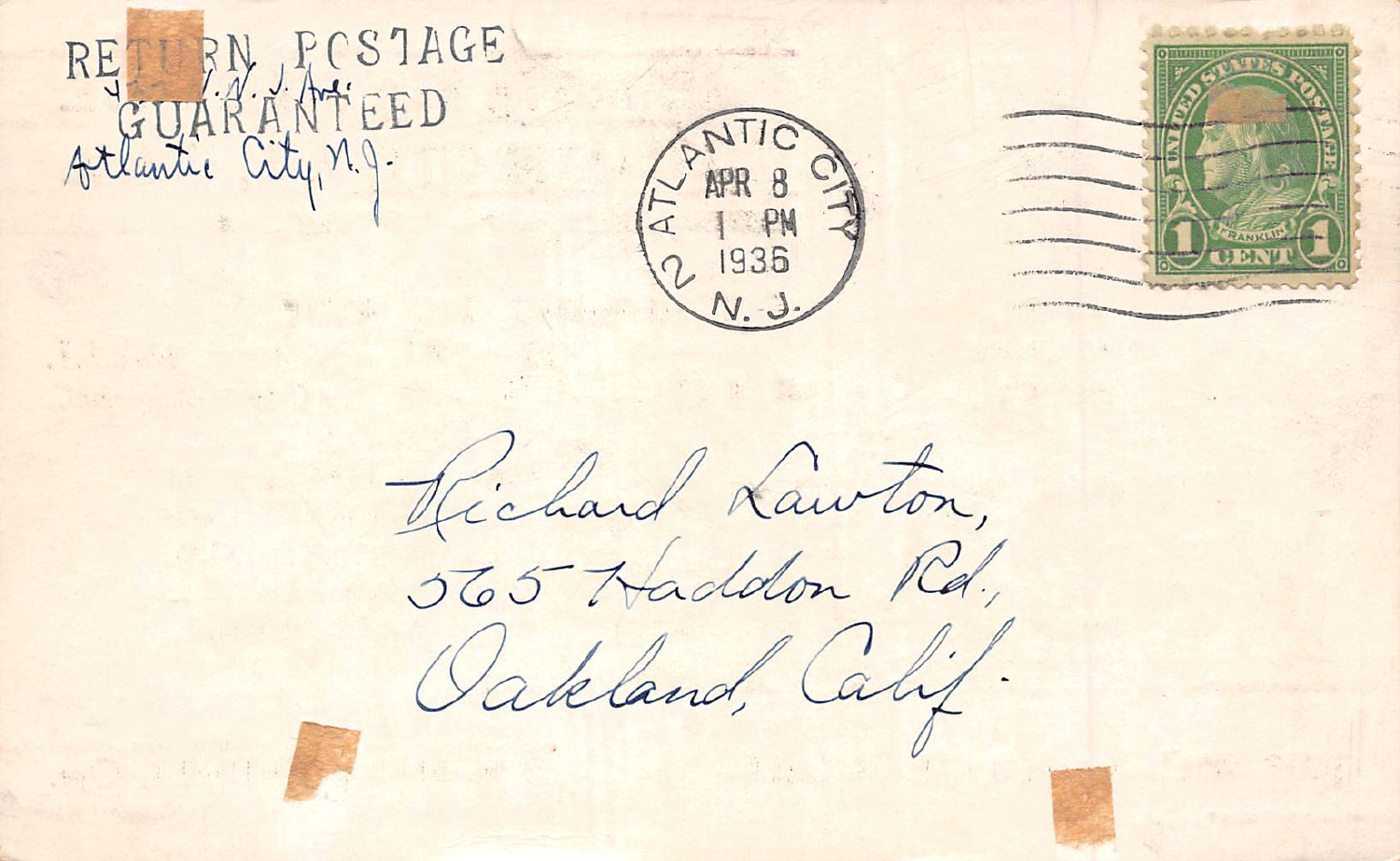





Richard Lawton,

565 Haddon Rd., Oakland, Calif.



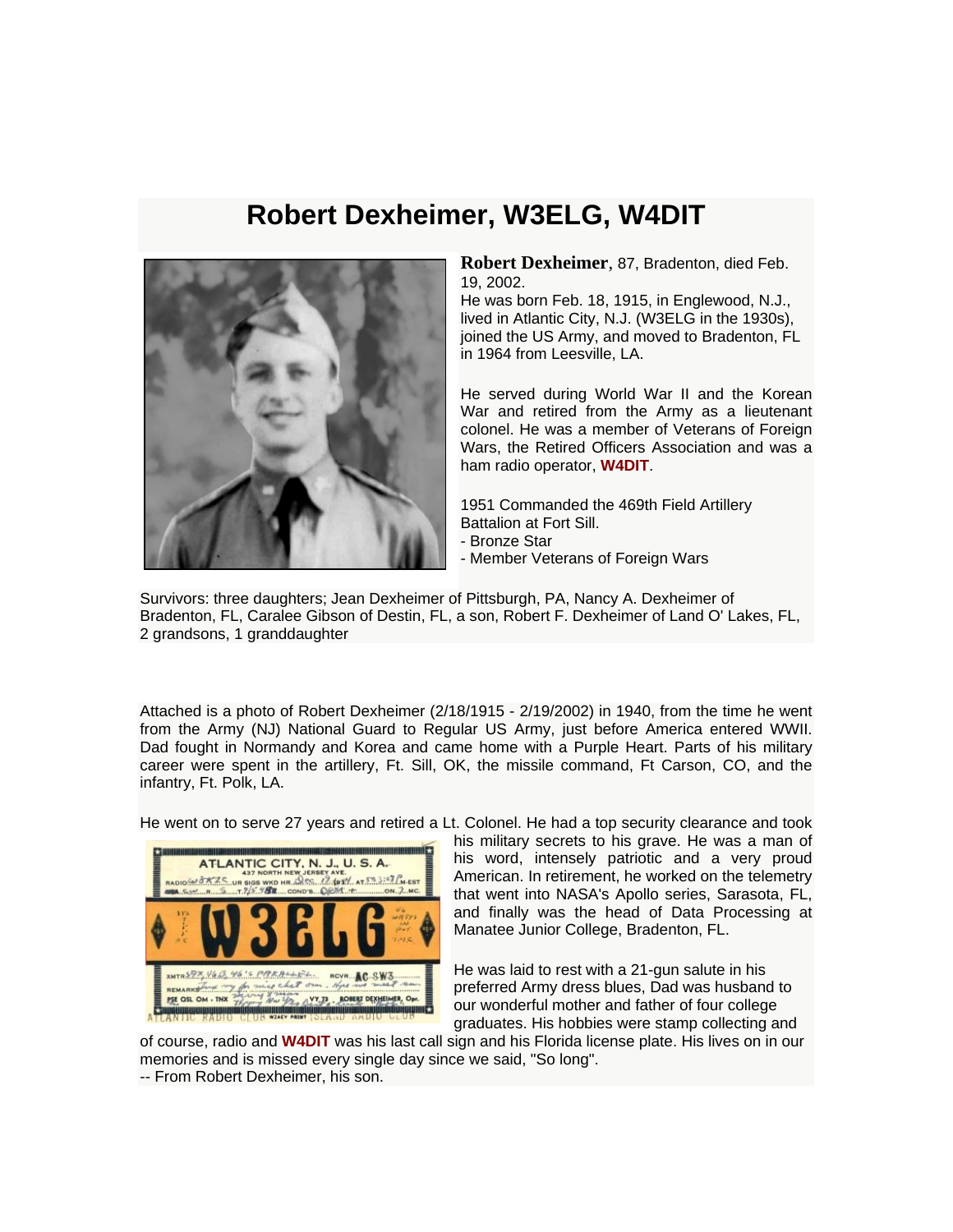## **Robert Dexheimer, W3ELG, W4DIT**



**Robert Dexheimer**, 87, Bradenton, died Feb. 19, 2002.

He was born Feb. 18, 1915, in Englewood, N.J., lived in Atlantic City, N.J. (W3ELG in the 1930s), joined the US Army, and moved to Bradenton, FL in 1964 from Leesville, LA.

He served during World War II and the Korean War and retired from the Army as a lieutenant colonel. He was a member of Veterans of Foreign Wars, the Retired Officers Association and was a ham radio operator, **W4DIT**.

1951 Commanded the 469th Field Artillery Battalion at Fort Sill. - Bronze Star

- Member Veterans of Foreign Wars

Survivors: three daughters; Jean Dexheimer of Pittsburgh, PA, Nancy A. Dexheimer of Bradenton, FL, Caralee Gibson of Destin, FL, a son, Robert F. Dexheimer of Land O' Lakes, FL, 2 grandsons, 1 granddaughter

Attached is a photo of Robert Dexheimer (2/18/1915 - 2/19/2002) in 1940, from the time he went from the Army (NJ) National Guard to Regular US Army, just before America entered WWII. Dad fought in Normandy and Korea and came home with a Purple Heart. Parts of his military career were spent in the artillery, Ft. Sill, OK, the missile command, Ft Carson, CO, and the infantry, Ft. Polk, LA.

He went on to serve 27 years and retired a Lt. Colonel. He had a top security clearance and took



his military secrets to his grave. He was a man of his word, intensely patriotic and a very proud American. In retirement, he worked on the telemetry that went into NASA's Apollo series, Sarasota, FL, and finally was the head of Data Processing at Manatee Junior College, Bradenton, FL.

He was laid to rest with a 21-gun salute in his preferred Army dress blues, Dad was husband to our wonderful mother and father of four college graduates. His hobbies were stamp collecting and

of course, radio and **W4DIT** was his last call sign and his Florida license plate. His lives on in our memories and is missed every single day since we said, "So long". -- From Robert Dexheimer, his son.